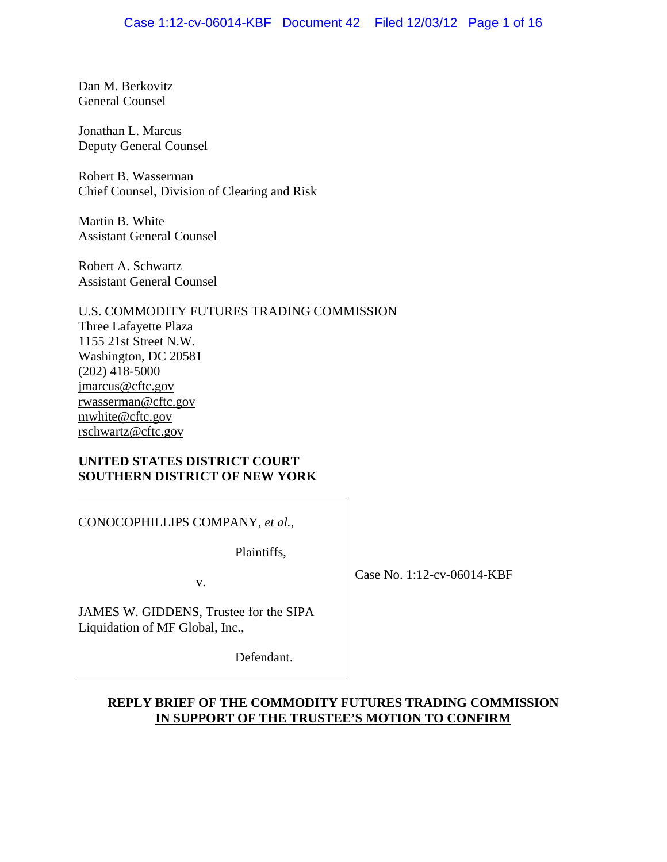Dan M. Berkovitz General Counsel

Jonathan L. Marcus Deputy General Counsel

Robert B. Wasserman Chief Counsel, Division of Clearing and Risk

Martin B. White Assistant General Counsel

Robert A. Schwartz Assistant General Counsel

U.S. COMMODITY FUTURES TRADING COMMISSION Three Lafayette Plaza 1155 21st Street N.W. Washington, DC 20581 (202) 418-5000 jmarcus@cftc.gov rwasserman@cftc.gov mwhite@cftc.gov rschwartz@cftc.gov

### **UNITED STATES DISTRICT COURT SOUTHERN DISTRICT OF NEW YORK**

CONOCOPHILLIPS COMPANY, *et al.*,

Plaintiffs,

v.

Case No. 1:12-cv-06014-KBF

JAMES W. GIDDENS, Trustee for the SIPA Liquidation of MF Global, Inc.,

Defendant.

## **REPLY BRIEF OF THE COMMODITY FUTURES TRADING COMMISSION IN SUPPORT OF THE TRUSTEE'S MOTION TO CONFIRM**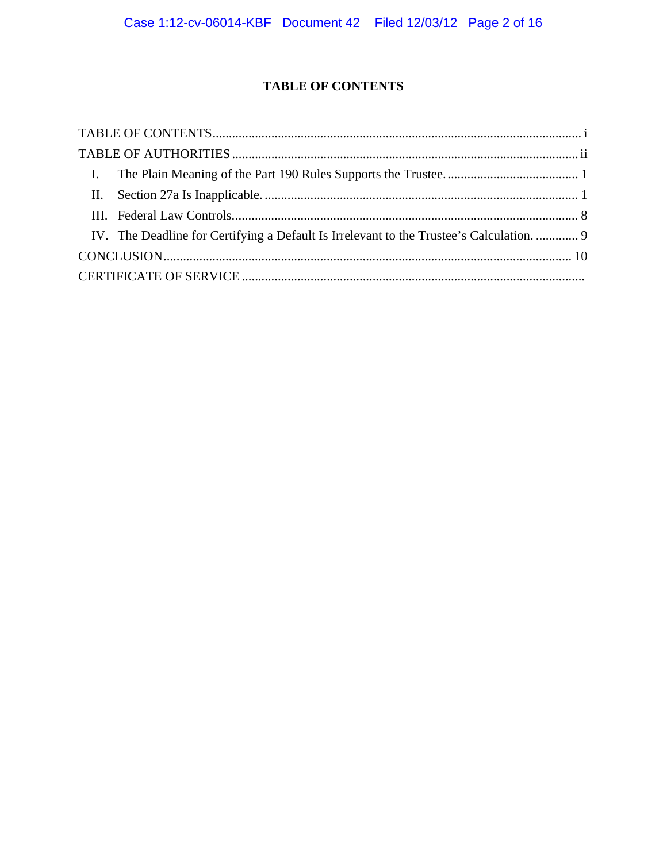## **TABLE OF CONTENTS**

| IV. The Deadline for Certifying a Default Is Irrelevant to the Trustee's Calculation.  9 |  |
|------------------------------------------------------------------------------------------|--|
|                                                                                          |  |
|                                                                                          |  |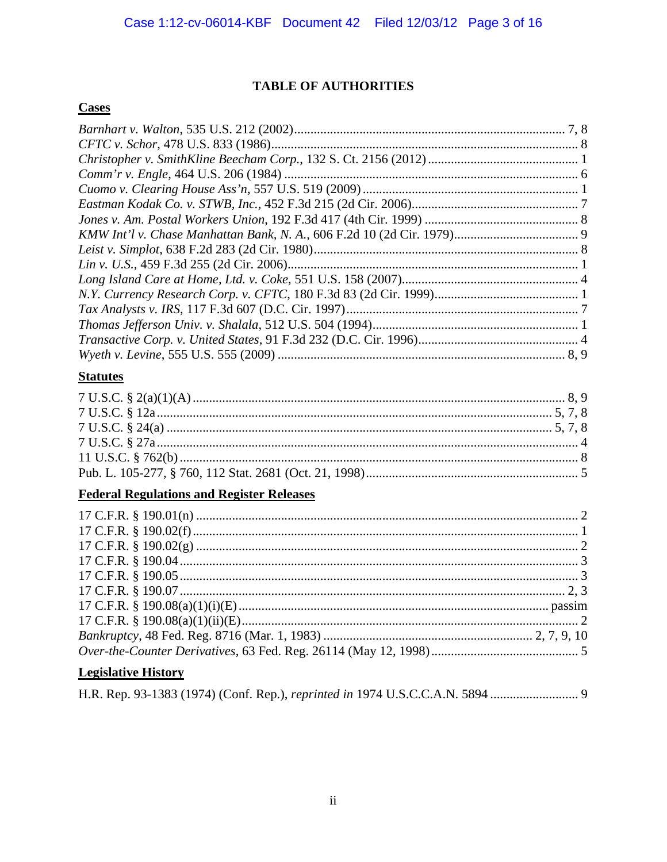# **TABLE OF AUTHORITIES**

## **Cases**

## **Statutes**

# **Federal Regulations and Register Releases**

# **Legislative History**

|  |  |  |  |  | H.R. Rep. 93-1383 (1974) (Conf. Rep.), reprinted in 1974 U.S.C.C.A.N. 5894 |
|--|--|--|--|--|----------------------------------------------------------------------------|
|--|--|--|--|--|----------------------------------------------------------------------------|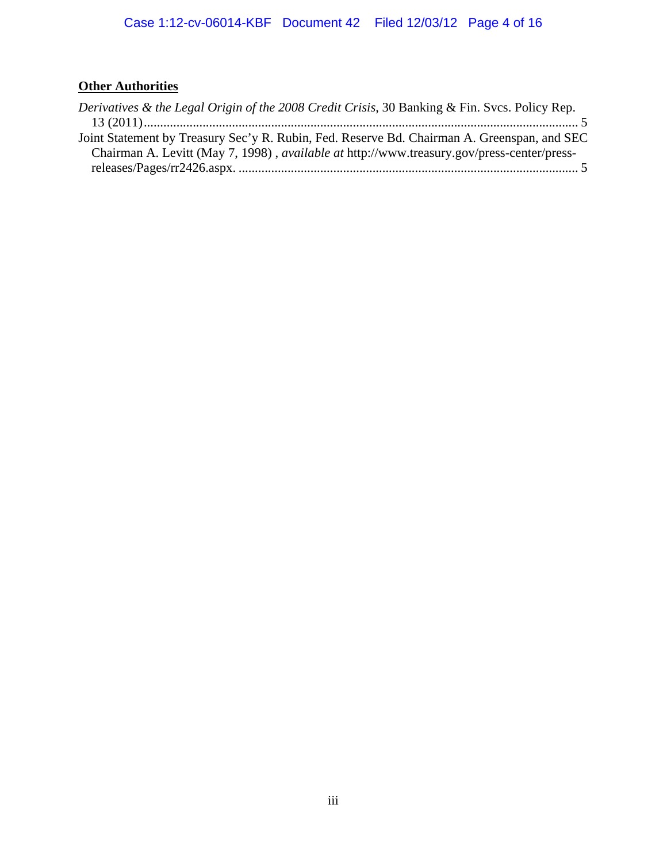# **Other Authorities**

| Derivatives & the Legal Origin of the 2008 Credit Crisis, 30 Banking & Fin. Svcs. Policy Rep.     |
|---------------------------------------------------------------------------------------------------|
|                                                                                                   |
| Joint Statement by Treasury Sec'y R. Rubin, Fed. Reserve Bd. Chairman A. Greenspan, and SEC       |
| Chairman A. Levitt (May 7, 1998), <i>available at http://www.treasury.gov/press-center/press-</i> |
|                                                                                                   |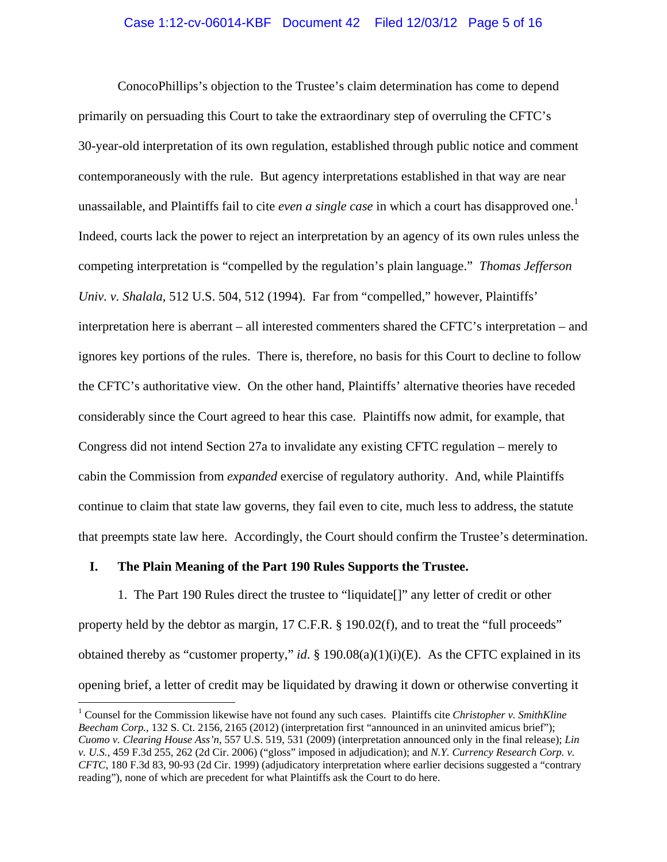ConocoPhillips's objection to the Trustee's claim determination has come to depend primarily on persuading this Court to take the extraordinary step of overruling the CFTC's 30-year-old interpretation of its own regulation, established through public notice and comment contemporaneously with the rule. But agency interpretations established in that way are near unassailable, and Plaintiffs fail to cite *even a single case* in which a court has disapproved one.<sup>1</sup> Indeed, courts lack the power to reject an interpretation by an agency of its own rules unless the competing interpretation is "compelled by the regulation's plain language." *Thomas Jefferson Univ. v. Shalala*, 512 U.S. 504, 512 (1994). Far from "compelled," however, Plaintiffs' interpretation here is aberrant – all interested commenters shared the CFTC's interpretation – and ignores key portions of the rules. There is, therefore, no basis for this Court to decline to follow the CFTC's authoritative view. On the other hand, Plaintiffs' alternative theories have receded considerably since the Court agreed to hear this case. Plaintiffs now admit, for example, that Congress did not intend Section 27a to invalidate any existing CFTC regulation – merely to cabin the Commission from *expanded* exercise of regulatory authority. And, while Plaintiffs continue to claim that state law governs, they fail even to cite, much less to address, the statute that preempts state law here. Accordingly, the Court should confirm the Trustee's determination.

#### **I. The Plain Meaning of the Part 190 Rules Supports the Trustee.**

1

1. The Part 190 Rules direct the trustee to "liquidate[]" any letter of credit or other property held by the debtor as margin, 17 C.F.R. § 190.02(f), and to treat the "full proceeds" obtained thereby as "customer property," *id*. § 190.08(a)(1)(i)(E). As the CFTC explained in its opening brief, a letter of credit may be liquidated by drawing it down or otherwise converting it

<sup>&</sup>lt;sup>1</sup> Counsel for the Commission likewise have not found any such cases. Plaintiffs cite *Christopher v. SmithKline Beecham Corp.*, 132 S. Ct. 2156, 2165 (2012) (interpretation first "announced in an uninvited amicus brief"); *Cuomo v. Clearing House Ass'n*, 557 U.S. 519, 531 (2009) (interpretation announced only in the final release); *Lin v. U.S.*, 459 F.3d 255, 262 (2d Cir. 2006) ("gloss" imposed in adjudication); and *N.Y. Currency Research Corp. v. CFTC*, 180 F.3d 83, 90-93 (2d Cir. 1999) (adjudicatory interpretation where earlier decisions suggested a "contrary reading"), none of which are precedent for what Plaintiffs ask the Court to do here.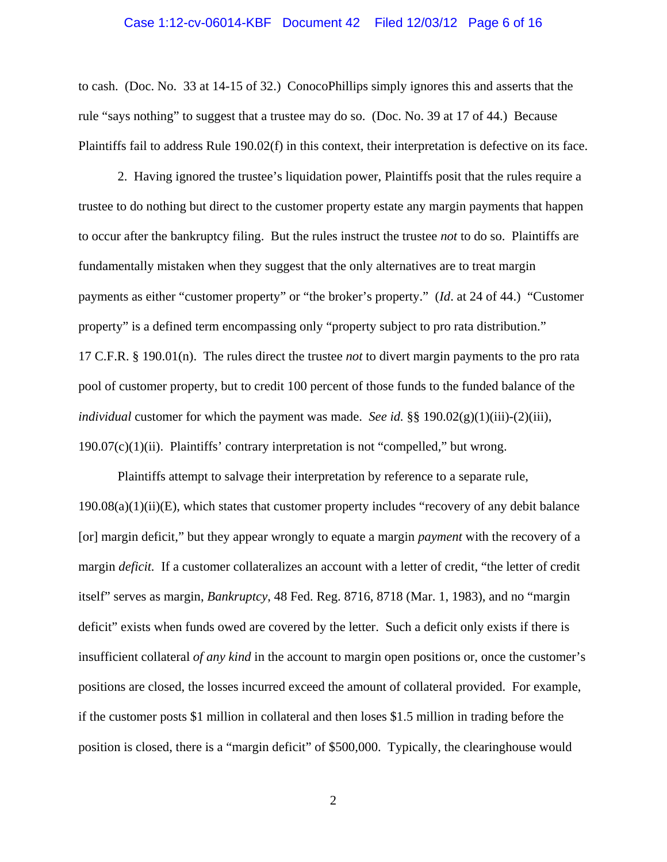#### Case 1:12-cv-06014-KBF Document 42 Filed 12/03/12 Page 6 of 16

to cash. (Doc. No. 33 at 14-15 of 32.) ConocoPhillips simply ignores this and asserts that the rule "says nothing" to suggest that a trustee may do so. (Doc. No. 39 at 17 of 44.) Because Plaintiffs fail to address Rule 190.02(f) in this context, their interpretation is defective on its face.

2. Having ignored the trustee's liquidation power, Plaintiffs posit that the rules require a trustee to do nothing but direct to the customer property estate any margin payments that happen to occur after the bankruptcy filing. But the rules instruct the trustee *not* to do so. Plaintiffs are fundamentally mistaken when they suggest that the only alternatives are to treat margin payments as either "customer property" or "the broker's property." (*Id*. at 24 of 44.) "Customer property" is a defined term encompassing only "property subject to pro rata distribution." 17 C.F.R. § 190.01(n). The rules direct the trustee *not* to divert margin payments to the pro rata pool of customer property, but to credit 100 percent of those funds to the funded balance of the *individual* customer for which the payment was made. *See id.* §§ 190.02(g)(1)(iii)-(2)(iii), 190.07(c)(1)(ii). Plaintiffs' contrary interpretation is not "compelled," but wrong.

Plaintiffs attempt to salvage their interpretation by reference to a separate rule,  $190.08(a)(1)(ii)(E)$ , which states that customer property includes "recovery of any debit balance" [or] margin deficit," but they appear wrongly to equate a margin *payment* with the recovery of a margin *deficit*. If a customer collateralizes an account with a letter of credit, "the letter of credit" itself" serves as margin, *Bankruptcy*, 48 Fed. Reg. 8716, 8718 (Mar. 1, 1983), and no "margin deficit" exists when funds owed are covered by the letter. Such a deficit only exists if there is insufficient collateral *of any kind* in the account to margin open positions or, once the customer's positions are closed, the losses incurred exceed the amount of collateral provided. For example, if the customer posts \$1 million in collateral and then loses \$1.5 million in trading before the position is closed, there is a "margin deficit" of \$500,000. Typically, the clearinghouse would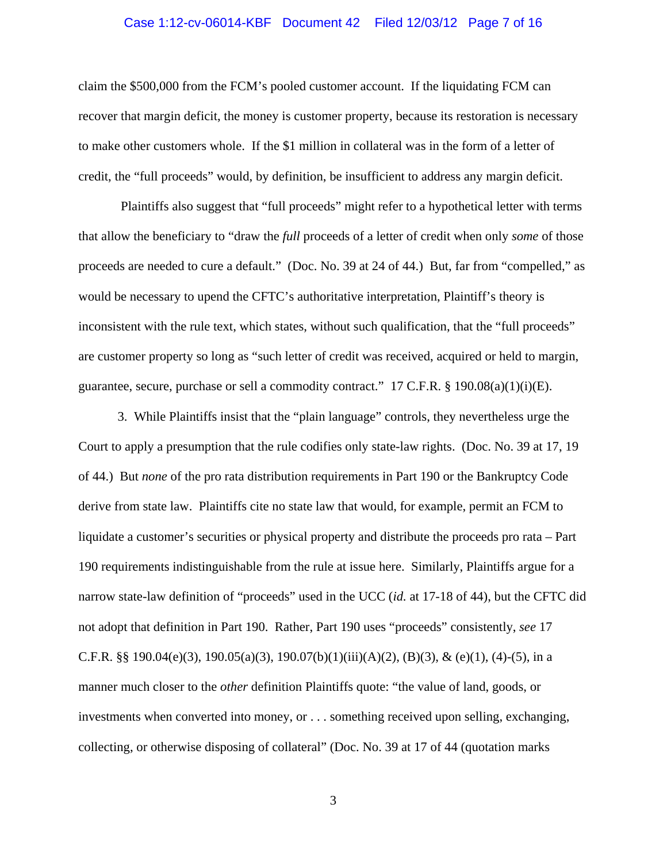#### Case 1:12-cv-06014-KBF Document 42 Filed 12/03/12 Page 7 of 16

claim the \$500,000 from the FCM's pooled customer account. If the liquidating FCM can recover that margin deficit, the money is customer property, because its restoration is necessary to make other customers whole. If the \$1 million in collateral was in the form of a letter of credit, the "full proceeds" would, by definition, be insufficient to address any margin deficit.

 Plaintiffs also suggest that "full proceeds" might refer to a hypothetical letter with terms that allow the beneficiary to "draw the *full* proceeds of a letter of credit when only *some* of those proceeds are needed to cure a default." (Doc. No. 39 at 24 of 44.) But, far from "compelled," as would be necessary to upend the CFTC's authoritative interpretation, Plaintiff's theory is inconsistent with the rule text, which states, without such qualification, that the "full proceeds" are customer property so long as "such letter of credit was received, acquired or held to margin, guarantee, secure, purchase or sell a commodity contract."  $17$  C.F.R. §  $190.08(a)(1)(i)(E)$ .

 3. While Plaintiffs insist that the "plain language" controls, they nevertheless urge the Court to apply a presumption that the rule codifies only state-law rights. (Doc. No. 39 at 17, 19 of 44.) But *none* of the pro rata distribution requirements in Part 190 or the Bankruptcy Code derive from state law. Plaintiffs cite no state law that would, for example, permit an FCM to liquidate a customer's securities or physical property and distribute the proceeds pro rata – Part 190 requirements indistinguishable from the rule at issue here. Similarly, Plaintiffs argue for a narrow state-law definition of "proceeds" used in the UCC (*id.* at 17-18 of 44), but the CFTC did not adopt that definition in Part 190. Rather, Part 190 uses "proceeds" consistently, *see* 17 C.F.R. §§ 190.04(e)(3), 190.05(a)(3), 190.07(b)(1)(iii)(A)(2), (B)(3), & (e)(1), (4)-(5), in a manner much closer to the *other* definition Plaintiffs quote: "the value of land, goods, or investments when converted into money, or . . . something received upon selling, exchanging, collecting, or otherwise disposing of collateral" (Doc. No. 39 at 17 of 44 (quotation marks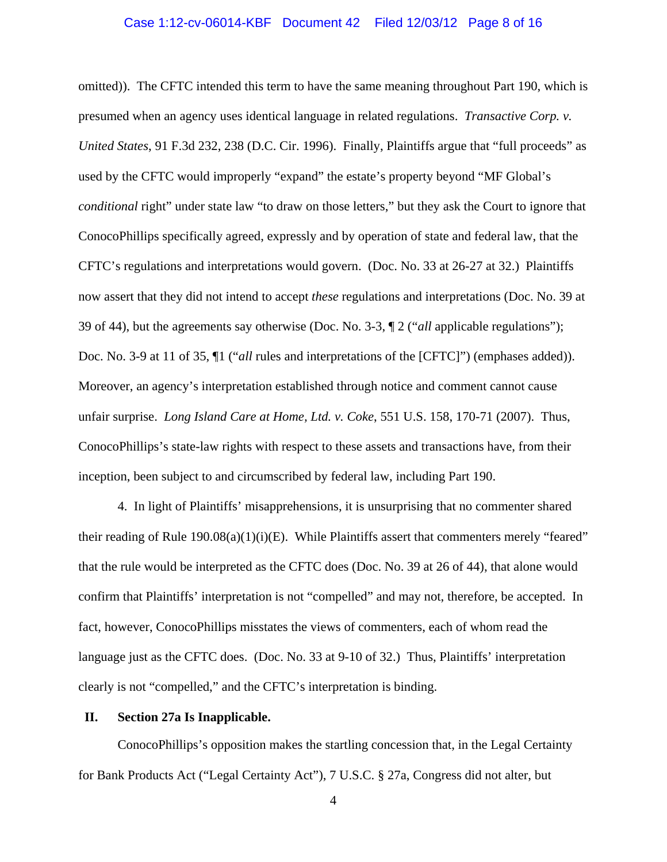### Case 1:12-cv-06014-KBF Document 42 Filed 12/03/12 Page 8 of 16

omitted)). The CFTC intended this term to have the same meaning throughout Part 190, which is presumed when an agency uses identical language in related regulations. *Transactive Corp. v. United States*, 91 F.3d 232, 238 (D.C. Cir. 1996). Finally, Plaintiffs argue that "full proceeds" as used by the CFTC would improperly "expand" the estate's property beyond "MF Global's *conditional* right" under state law "to draw on those letters," but they ask the Court to ignore that ConocoPhillips specifically agreed, expressly and by operation of state and federal law, that the CFTC's regulations and interpretations would govern. (Doc. No. 33 at 26-27 at 32.) Plaintiffs now assert that they did not intend to accept *these* regulations and interpretations (Doc. No. 39 at 39 of 44), but the agreements say otherwise (Doc. No. 3-3, ¶ 2 ("*all* applicable regulations"); Doc. No. 3-9 at 11 of 35, ¶1 ("*all* rules and interpretations of the [CFTC]") (emphases added)). Moreover, an agency's interpretation established through notice and comment cannot cause unfair surprise. *Long Island Care at Home, Ltd. v. Coke*, 551 U.S. 158, 170-71 (2007). Thus, ConocoPhillips's state-law rights with respect to these assets and transactions have, from their inception, been subject to and circumscribed by federal law, including Part 190.

4. In light of Plaintiffs' misapprehensions, it is unsurprising that no commenter shared their reading of Rule  $190.08(a)(1)(i)(E)$ . While Plaintiffs assert that commenters merely "feared" that the rule would be interpreted as the CFTC does (Doc. No. 39 at 26 of 44), that alone would confirm that Plaintiffs' interpretation is not "compelled" and may not, therefore, be accepted. In fact, however, ConocoPhillips misstates the views of commenters, each of whom read the language just as the CFTC does. (Doc. No. 33 at 9-10 of 32.) Thus, Plaintiffs' interpretation clearly is not "compelled," and the CFTC's interpretation is binding.

#### **II. Section 27a Is Inapplicable.**

ConocoPhillips's opposition makes the startling concession that, in the Legal Certainty for Bank Products Act ("Legal Certainty Act"), 7 U.S.C. § 27a, Congress did not alter, but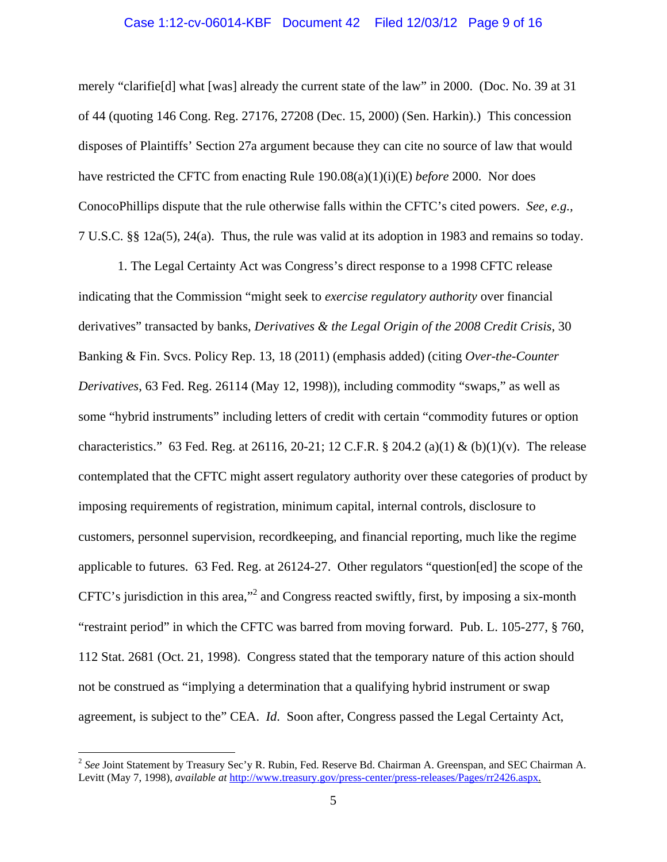#### Case 1:12-cv-06014-KBF Document 42 Filed 12/03/12 Page 9 of 16

merely "clarifie[d] what [was] already the current state of the law" in 2000. (Doc. No. 39 at 31 of 44 (quoting 146 Cong. Reg. 27176, 27208 (Dec. 15, 2000) (Sen. Harkin).) This concession disposes of Plaintiffs' Section 27a argument because they can cite no source of law that would have restricted the CFTC from enacting Rule 190.08(a)(1)(i)(E) *before* 2000. Nor does ConocoPhillips dispute that the rule otherwise falls within the CFTC's cited powers. *See, e.g.,*  7 U.S.C. §§ 12a(5), 24(a). Thus, the rule was valid at its adoption in 1983 and remains so today.

1. The Legal Certainty Act was Congress's direct response to a 1998 CFTC release indicating that the Commission "might seek to *exercise regulatory authority* over financial derivatives" transacted by banks, *Derivatives & the Legal Origin of the 2008 Credit Crisis*, 30 Banking & Fin. Svcs. Policy Rep. 13, 18 (2011) (emphasis added) (citing *Over-the-Counter Derivatives*, 63 Fed. Reg. 26114 (May 12, 1998)), including commodity "swaps," as well as some "hybrid instruments" including letters of credit with certain "commodity futures or option characteristics." 63 Fed. Reg. at 26116, 20-21; 12 C.F.R.  $\S$  204.2 (a)(1) & (b)(1)(v). The release contemplated that the CFTC might assert regulatory authority over these categories of product by imposing requirements of registration, minimum capital, internal controls, disclosure to customers, personnel supervision, recordkeeping, and financial reporting, much like the regime applicable to futures. 63 Fed. Reg. at 26124-27. Other regulators "question[ed] the scope of the CFTC's jurisdiction in this area,"<sup>2</sup> and Congress reacted swiftly, first, by imposing a six-month "restraint period" in which the CFTC was barred from moving forward. Pub. L. 105-277, § 760, 112 Stat. 2681 (Oct. 21, 1998). Congress stated that the temporary nature of this action should not be construed as "implying a determination that a qualifying hybrid instrument or swap agreement, is subject to the" CEA. *Id*. Soon after, Congress passed the Legal Certainty Act,

 $\overline{a}$ 

<sup>&</sup>lt;sup>2</sup> See Joint Statement by Treasury Sec'y R. Rubin, Fed. Reserve Bd. Chairman A. Greenspan, and SEC Chairman A. Levitt (May 7, 1998), *available at* http://www.treasury.gov/press-center/press-releases/Pages/rr2426.aspx.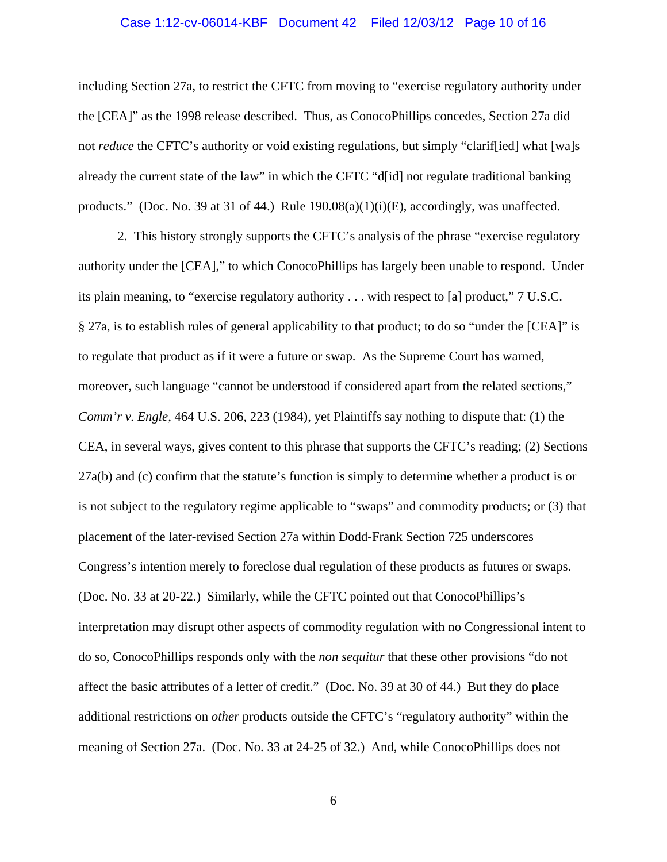### Case 1:12-cv-06014-KBF Document 42 Filed 12/03/12 Page 10 of 16

including Section 27a, to restrict the CFTC from moving to "exercise regulatory authority under the [CEA]" as the 1998 release described. Thus, as ConocoPhillips concedes, Section 27a did not *reduce* the CFTC's authority or void existing regulations, but simply "clarif[ied] what [wa]s already the current state of the law" in which the CFTC "d[id] not regulate traditional banking products." (Doc. No. 39 at 31 of 44.) Rule  $190.08(a)(1)(i)(E)$ , accordingly, was unaffected.

2. This history strongly supports the CFTC's analysis of the phrase "exercise regulatory authority under the [CEA]," to which ConocoPhillips has largely been unable to respond. Under its plain meaning, to "exercise regulatory authority . . . with respect to [a] product," 7 U.S.C. § 27a, is to establish rules of general applicability to that product; to do so "under the [CEA]" is to regulate that product as if it were a future or swap. As the Supreme Court has warned, moreover, such language "cannot be understood if considered apart from the related sections," *Comm'r v. Engle*, 464 U.S. 206, 223 (1984), yet Plaintiffs say nothing to dispute that: (1) the CEA, in several ways, gives content to this phrase that supports the CFTC's reading; (2) Sections 27a(b) and (c) confirm that the statute's function is simply to determine whether a product is or is not subject to the regulatory regime applicable to "swaps" and commodity products; or (3) that placement of the later-revised Section 27a within Dodd-Frank Section 725 underscores Congress's intention merely to foreclose dual regulation of these products as futures or swaps. (Doc. No. 33 at 20-22.) Similarly, while the CFTC pointed out that ConocoPhillips's interpretation may disrupt other aspects of commodity regulation with no Congressional intent to do so, ConocoPhillips responds only with the *non sequitur* that these other provisions "do not affect the basic attributes of a letter of credit." (Doc. No. 39 at 30 of 44.) But they do place additional restrictions on *other* products outside the CFTC's "regulatory authority" within the meaning of Section 27a. (Doc. No. 33 at 24-25 of 32.) And, while ConocoPhillips does not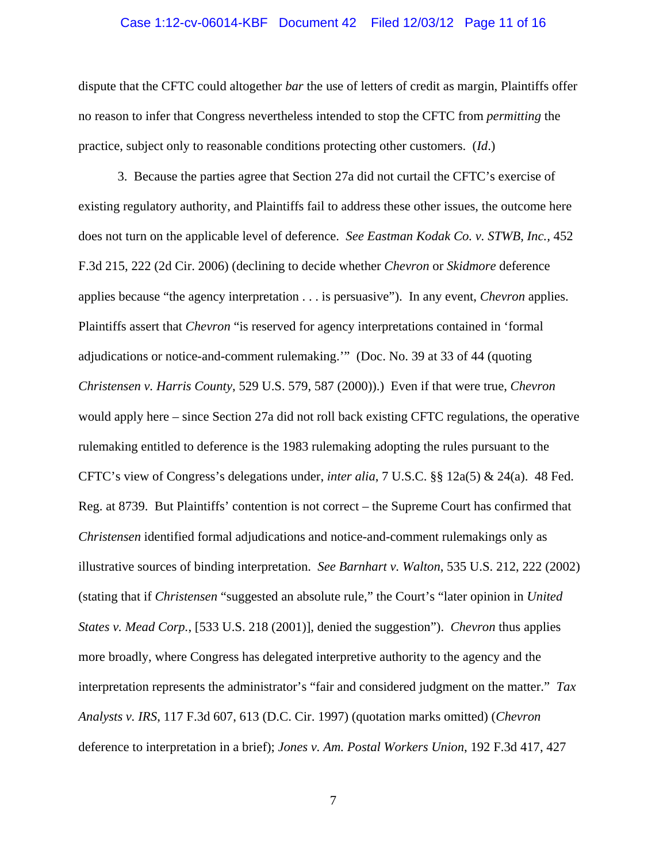#### Case 1:12-cv-06014-KBF Document 42 Filed 12/03/12 Page 11 of 16

dispute that the CFTC could altogether *bar* the use of letters of credit as margin, Plaintiffs offer no reason to infer that Congress nevertheless intended to stop the CFTC from *permitting* the practice, subject only to reasonable conditions protecting other customers. (*Id*.)

3. Because the parties agree that Section 27a did not curtail the CFTC's exercise of existing regulatory authority, and Plaintiffs fail to address these other issues, the outcome here does not turn on the applicable level of deference. *See Eastman Kodak Co. v. STWB, Inc.,* 452 F.3d 215, 222 (2d Cir. 2006) (declining to decide whether *Chevron* or *Skidmore* deference applies because "the agency interpretation . . . is persuasive"). In any event, *Chevron* applies. Plaintiffs assert that *Chevron* "is reserved for agency interpretations contained in 'formal adjudications or notice-and-comment rulemaking.'" (Doc. No. 39 at 33 of 44 (quoting *Christensen v. Harris County*, 529 U.S. 579, 587 (2000)).) Even if that were true, *Chevron* would apply here – since Section 27a did not roll back existing CFTC regulations, the operative rulemaking entitled to deference is the 1983 rulemaking adopting the rules pursuant to the CFTC's view of Congress's delegations under, *inter alia*, 7 U.S.C. §§ 12a(5) & 24(a). 48 Fed. Reg. at 8739. But Plaintiffs' contention is not correct – the Supreme Court has confirmed that *Christensen* identified formal adjudications and notice-and-comment rulemakings only as illustrative sources of binding interpretation. *See Barnhart v. Walton*, 535 U.S. 212, 222 (2002) (stating that if *Christensen* "suggested an absolute rule," the Court's "later opinion in *United States v. Mead Corp.*, [533 U.S. 218 (2001)], denied the suggestion"). *Chevron* thus applies more broadly, where Congress has delegated interpretive authority to the agency and the interpretation represents the administrator's "fair and considered judgment on the matter." *Tax Analysts v. IRS*, 117 F.3d 607, 613 (D.C. Cir. 1997) (quotation marks omitted) (*Chevron* deference to interpretation in a brief); *Jones v. Am. Postal Workers Union*, 192 F.3d 417, 427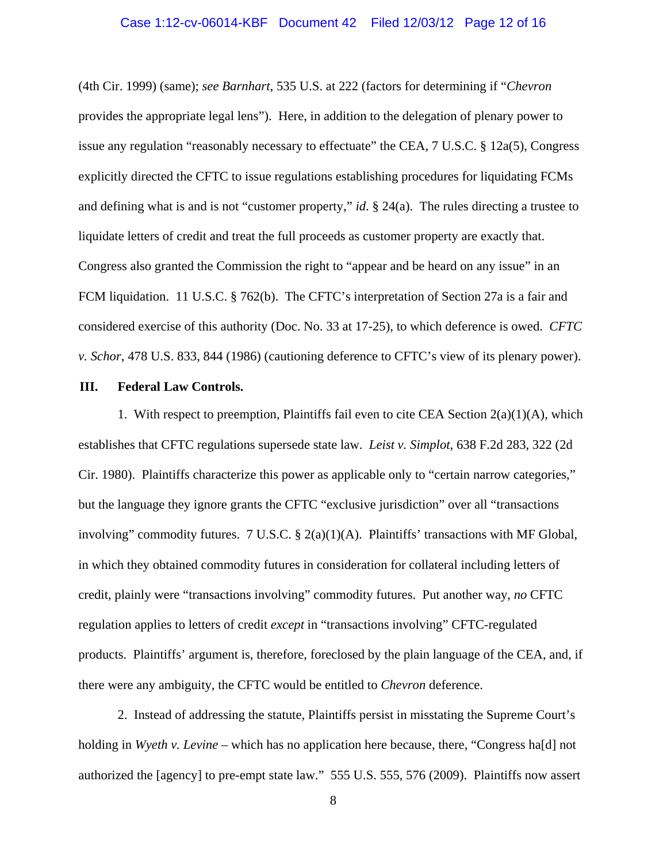#### Case 1:12-cv-06014-KBF Document 42 Filed 12/03/12 Page 12 of 16

(4th Cir. 1999) (same); *see Barnhart*, 535 U.S. at 222 (factors for determining if "*Chevron*  provides the appropriate legal lens"). Here, in addition to the delegation of plenary power to issue any regulation "reasonably necessary to effectuate" the CEA, 7 U.S.C. § 12a(5), Congress explicitly directed the CFTC to issue regulations establishing procedures for liquidating FCMs and defining what is and is not "customer property," *id*. § 24(a). The rules directing a trustee to liquidate letters of credit and treat the full proceeds as customer property are exactly that. Congress also granted the Commission the right to "appear and be heard on any issue" in an FCM liquidation. 11 U.S.C. § 762(b). The CFTC's interpretation of Section 27a is a fair and considered exercise of this authority (Doc. No. 33 at 17-25), to which deference is owed. *CFTC v. Schor*, 478 U.S. 833, 844 (1986) (cautioning deference to CFTC's view of its plenary power).

#### **III. Federal Law Controls.**

1. With respect to preemption, Plaintiffs fail even to cite CEA Section  $2(a)(1)(A)$ , which establishes that CFTC regulations supersede state law. *Leist v. Simplot*, 638 F.2d 283, 322 (2d Cir. 1980). Plaintiffs characterize this power as applicable only to "certain narrow categories," but the language they ignore grants the CFTC "exclusive jurisdiction" over all "transactions involving" commodity futures. 7 U.S.C. § 2(a)(1)(A). Plaintiffs' transactions with MF Global, in which they obtained commodity futures in consideration for collateral including letters of credit, plainly were "transactions involving" commodity futures. Put another way, *no* CFTC regulation applies to letters of credit *except* in "transactions involving" CFTC-regulated products. Plaintiffs' argument is, therefore, foreclosed by the plain language of the CEA, and, if there were any ambiguity, the CFTC would be entitled to *Chevron* deference.

2. Instead of addressing the statute, Plaintiffs persist in misstating the Supreme Court's holding in *Wyeth v. Levine* – which has no application here because, there, "Congress ha[d] not authorized the [agency] to pre-empt state law." 555 U.S. 555, 576 (2009). Plaintiffs now assert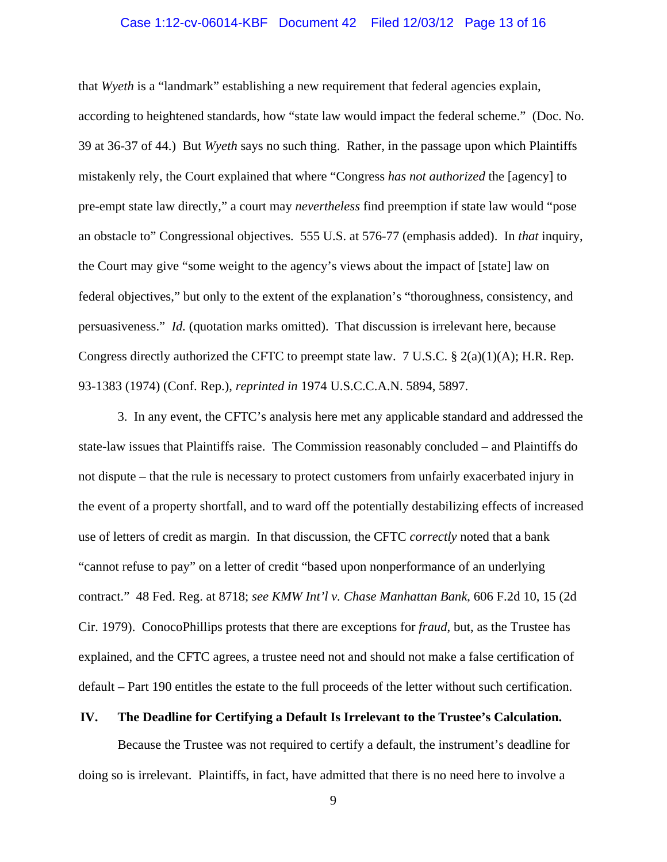#### Case 1:12-cv-06014-KBF Document 42 Filed 12/03/12 Page 13 of 16

that *Wyeth* is a "landmark" establishing a new requirement that federal agencies explain, according to heightened standards, how "state law would impact the federal scheme." (Doc. No. 39 at 36-37 of 44.) But *Wyeth* says no such thing. Rather, in the passage upon which Plaintiffs mistakenly rely, the Court explained that where "Congress *has not authorized* the [agency] to pre-empt state law directly," a court may *nevertheless* find preemption if state law would "pose an obstacle to" Congressional objectives. 555 U.S. at 576-77 (emphasis added). In *that* inquiry, the Court may give "some weight to the agency's views about the impact of [state] law on federal objectives," but only to the extent of the explanation's "thoroughness, consistency, and persuasiveness." *Id.* (quotation marks omitted). That discussion is irrelevant here, because Congress directly authorized the CFTC to preempt state law. 7 U.S.C. § 2(a)(1)(A); H.R. Rep. 93-1383 (1974) (Conf. Rep.), *reprinted in* 1974 U.S.C.C.A.N. 5894, 5897.

3. In any event, the CFTC's analysis here met any applicable standard and addressed the state-law issues that Plaintiffs raise. The Commission reasonably concluded – and Plaintiffs do not dispute – that the rule is necessary to protect customers from unfairly exacerbated injury in the event of a property shortfall, and to ward off the potentially destabilizing effects of increased use of letters of credit as margin. In that discussion, the CFTC *correctly* noted that a bank "cannot refuse to pay" on a letter of credit "based upon nonperformance of an underlying contract." 48 Fed. Reg. at 8718; *see KMW Int'l v. Chase Manhattan Bank*, 606 F.2d 10, 15 (2d Cir. 1979). ConocoPhillips protests that there are exceptions for *fraud*, but, as the Trustee has explained, and the CFTC agrees, a trustee need not and should not make a false certification of default – Part 190 entitles the estate to the full proceeds of the letter without such certification.

#### **IV. The Deadline for Certifying a Default Is Irrelevant to the Trustee's Calculation.**

 Because the Trustee was not required to certify a default, the instrument's deadline for doing so is irrelevant. Plaintiffs, in fact, have admitted that there is no need here to involve a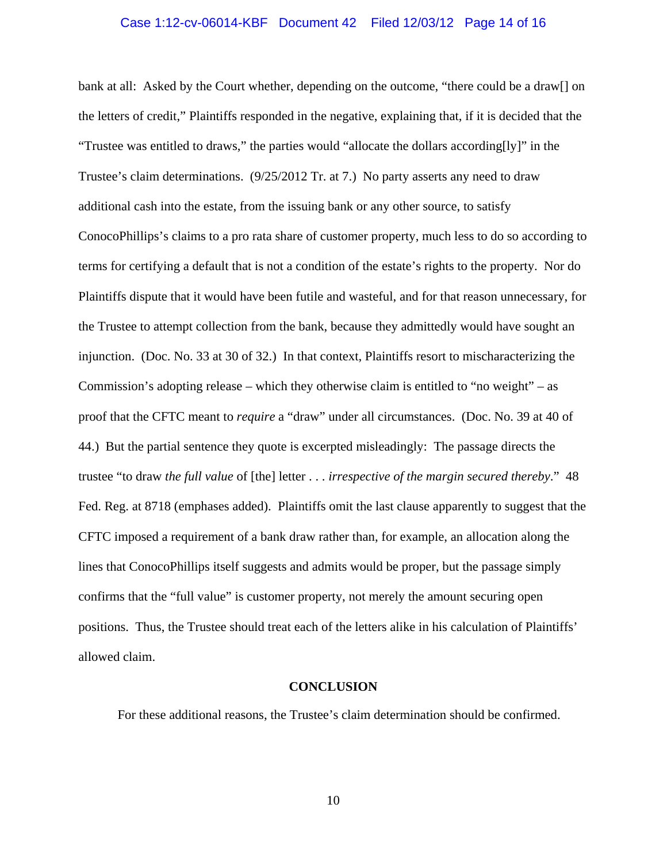#### Case 1:12-cv-06014-KBF Document 42 Filed 12/03/12 Page 14 of 16

bank at all: Asked by the Court whether, depending on the outcome, "there could be a draw[] on the letters of credit," Plaintiffs responded in the negative, explaining that, if it is decided that the "Trustee was entitled to draws," the parties would "allocate the dollars according[ly]" in the Trustee's claim determinations. (9/25/2012 Tr. at 7.) No party asserts any need to draw additional cash into the estate, from the issuing bank or any other source, to satisfy ConocoPhillips's claims to a pro rata share of customer property, much less to do so according to terms for certifying a default that is not a condition of the estate's rights to the property. Nor do Plaintiffs dispute that it would have been futile and wasteful, and for that reason unnecessary, for the Trustee to attempt collection from the bank, because they admittedly would have sought an injunction. (Doc. No. 33 at 30 of 32.) In that context, Plaintiffs resort to mischaracterizing the Commission's adopting release – which they otherwise claim is entitled to "no weight" – as proof that the CFTC meant to *require* a "draw" under all circumstances. (Doc. No. 39 at 40 of 44.) But the partial sentence they quote is excerpted misleadingly: The passage directs the trustee "to draw *the full value* of [the] letter . . . *irrespective of the margin secured thereby*." 48 Fed. Reg. at 8718 (emphases added). Plaintiffs omit the last clause apparently to suggest that the CFTC imposed a requirement of a bank draw rather than, for example, an allocation along the lines that ConocoPhillips itself suggests and admits would be proper, but the passage simply confirms that the "full value" is customer property, not merely the amount securing open positions. Thus, the Trustee should treat each of the letters alike in his calculation of Plaintiffs' allowed claim.

#### **CONCLUSION**

For these additional reasons, the Trustee's claim determination should be confirmed.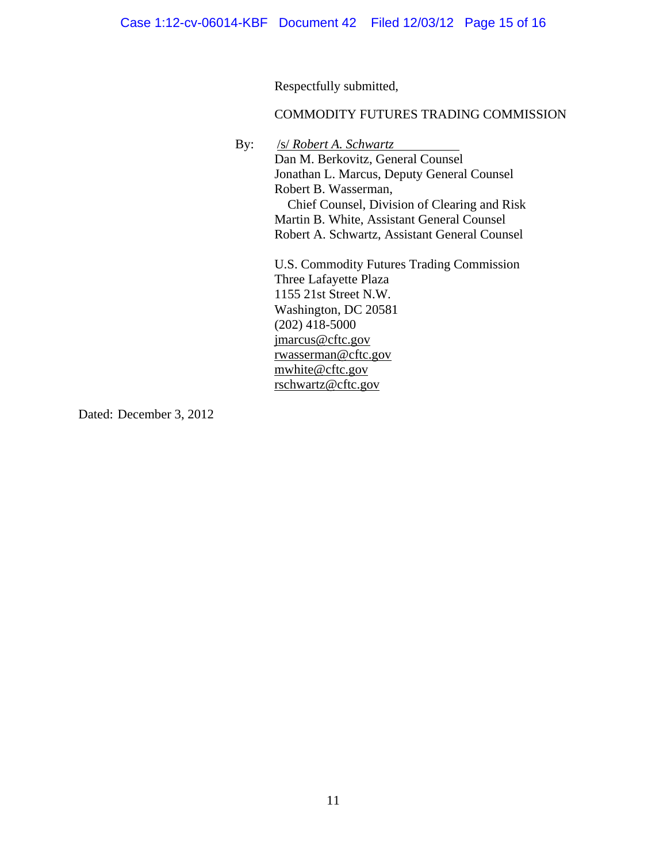Respectfully submitted,

### COMMODITY FUTURES TRADING COMMISSION

By: /s/ *Robert A. Schwartz*

Dan M. Berkovitz, General Counsel Jonathan L. Marcus, Deputy General Counsel Robert B. Wasserman, Chief Counsel, Division of Clearing and Risk Martin B. White, Assistant General Counsel Robert A. Schwartz, Assistant General Counsel

U.S. Commodity Futures Trading Commission Three Lafayette Plaza 1155 21st Street N.W. Washington, DC 20581  $(202)$  418-5000 jmarcus@cftc.gov rwasserman@cftc.gov mwhite@cftc.gov rschwartz@cftc.gov

Dated: December 3, 2012